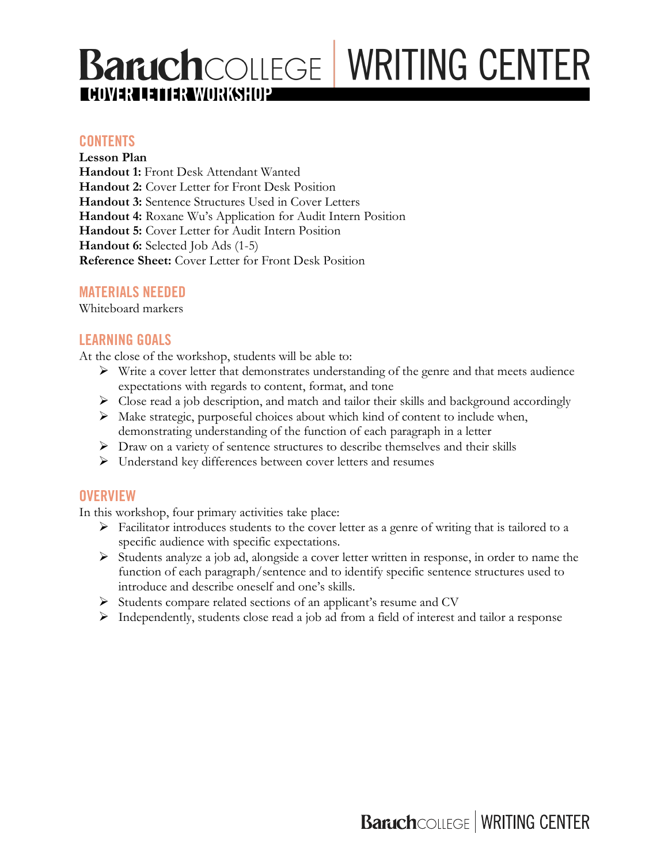# **BaruchCOLLEGE WRITING CENTER COVER LETTER WORKSHOP**

#### **CONTENTS**

**Lesson Plan Handout 1:** Front Desk Attendant Wanted **Handout 2:** Cover Letter for Front Desk Position **Handout 3:** Sentence Structures Used in Cover Letters **Handout 4:** Roxane Wu's Application for Audit Intern Position **Handout 5:** Cover Letter for Audit Intern Position **Handout 6:** Selected Job Ads (1-5) **Reference Sheet:** Cover Letter for Front Desk Position

## **MATERIALS NEEDED**

Whiteboard markers

### **LEARNING GOALS**

At the close of the workshop, students will be able to:

- $\triangleright$  Write a cover letter that demonstrates understanding of the genre and that meets audience expectations with regards to content, format, and tone
- $\triangleright$  Close read a job description, and match and tailor their skills and background accordingly
- $\triangleright$  Make strategic, purposeful choices about which kind of content to include when, demonstrating understanding of the function of each paragraph in a letter
- $\triangleright$  Draw on a variety of sentence structures to describe themselves and their skills
- Ø Understand key differences between cover letters and resumes

#### **OVERVIEW**

In this workshop, four primary activities take place:

- $\triangleright$  Facilitator introduces students to the cover letter as a genre of writing that is tailored to a specific audience with specific expectations.
- Ø Students analyze a job ad, alongside a cover letter written in response, in order to name the function of each paragraph/sentence and to identify specific sentence structures used to introduce and describe oneself and one's skills.
- $\triangleright$  Students compare related sections of an applicant's resume and CV
- Ø Independently, students close read a job ad from a field of interest and tailor a response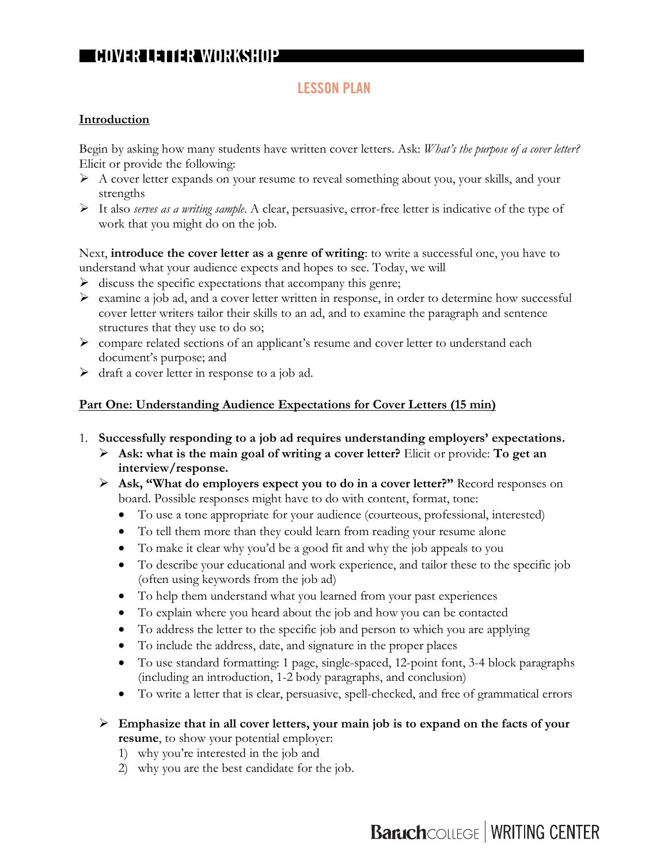### **LESSON PLAN**

#### **Introduction**

Begin by asking how many students have written cover letters. Ask: *What's the purpose of a cover letter?* Elicit or provide the following:

- $\triangleright$  A cover letter expands on your resume to reveal something about you, your skills, and your strengths
- Ø It also *serves as a writing sample*. A clear, persuasive, error-free letter is indicative of the type of work that you might do on the job.

Next, **introduce the cover letter as a genre of writing**: to write a successful one, you have to understand what your audience expects and hopes to see. Today, we will

- $\triangleright$  discuss the specific expectations that accompany this genre;
- $\triangleright$  examine a job ad, and a cover letter written in response, in order to determine how successful cover letter writers tailor their skills to an ad, and to examine the paragraph and sentence structures that they use to do so;
- $\triangleright$  compare related sections of an applicant's resume and cover letter to understand each document's purpose; and
- $\triangleright$  draft a cover letter in response to a job ad.

#### **Part One: Understanding Audience Expectations for Cover Letters (15 min)**

- 1. **Successfully responding to a job ad requires understanding employers' expectations.**
	- Ø **Ask: what is the main goal of writing a cover letter?** Elicit or provide: **To get an interview/response.**
	- Ø **Ask, "What do employers expect you to do in a cover letter?"** Record responses on board. Possible responses might have to do with content, format, tone:
		- To use a tone appropriate for your audience (courteous, professional, interested)
		- To tell them more than they could learn from reading your resume alone
		- To make it clear why you'd be a good fit and why the job appeals to you
		- To describe your educational and work experience, and tailor these to the specific job (often using keywords from the job ad)
		- To help them understand what you learned from your past experiences
		- To explain where you heard about the job and how you can be contacted
		- To address the letter to the specific job and person to which you are applying
		- To include the address, date, and signature in the proper places
		- To use standard formatting: 1 page, single-spaced, 12-point font, 3-4 block paragraphs (including an introduction, 1-2 body paragraphs, and conclusion)
		- To write a letter that is clear, persuasive, spell-checked, and free of grammatical errors
	- Ø **Emphasize that in all cover letters, your main job is to expand on the facts of your resume**, to show your potential employer:
		- 1) why you're interested in the job and
		- 2) why you are the best candidate for the job.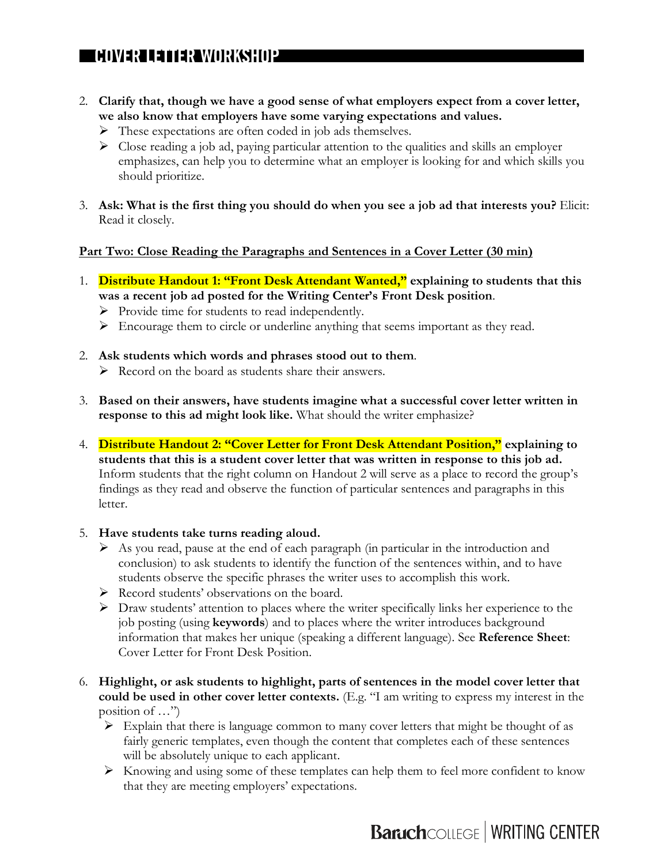- 2. **Clarify that, though we have a good sense of what employers expect from a cover letter, we also know that employers have some varying expectations and values.**
	- Ø These expectations are often coded in job ads themselves.
	- $\triangleright$  Close reading a job ad, paying particular attention to the qualities and skills an employer emphasizes, can help you to determine what an employer is looking for and which skills you should prioritize.
- 3. **Ask: What is the first thing you should do when you see a job ad that interests you?** Elicit: Read it closely.

#### **Part Two: Close Reading the Paragraphs and Sentences in a Cover Letter (30 min)**

- 1. **Distribute Handout 1: "Front Desk Attendant Wanted," explaining to students that this was a recent job ad posted for the Writing Center's Front Desk position**.
	- $\triangleright$  Provide time for students to read independently.
	- $\triangleright$  Encourage them to circle or underline anything that seems important as they read.
- 2. **Ask students which words and phrases stood out to them**.
	- $\triangleright$  Record on the board as students share their answers.
- 3. **Based on their answers, have students imagine what a successful cover letter written in response to this ad might look like.** What should the writer emphasize?
- 4. **Distribute Handout 2: "Cover Letter for Front Desk Attendant Position," explaining to students that this is a student cover letter that was written in response to this job ad.**  Inform students that the right column on Handout 2 will serve as a place to record the group's findings as they read and observe the function of particular sentences and paragraphs in this letter.
- 5. **Have students take turns reading aloud.** 
	- $\triangleright$  As you read, pause at the end of each paragraph (in particular in the introduction and conclusion) to ask students to identify the function of the sentences within, and to have students observe the specific phrases the writer uses to accomplish this work.
	- Ø Record students' observations on the board.
	- $\triangleright$  Draw students' attention to places where the writer specifically links her experience to the job posting (using **keywords**) and to places where the writer introduces background information that makes her unique (speaking a different language). See **Reference Sheet**: Cover Letter for Front Desk Position.
- 6. **Highlight, or ask students to highlight, parts of sentences in the model cover letter that could be used in other cover letter contexts.** (E.g. "I am writing to express my interest in the position of …")
	- $\triangleright$  Explain that there is language common to many cover letters that might be thought of as fairly generic templates, even though the content that completes each of these sentences will be absolutely unique to each applicant.
	- $\triangleright$  Knowing and using some of these templates can help them to feel more confident to know that they are meeting employers' expectations.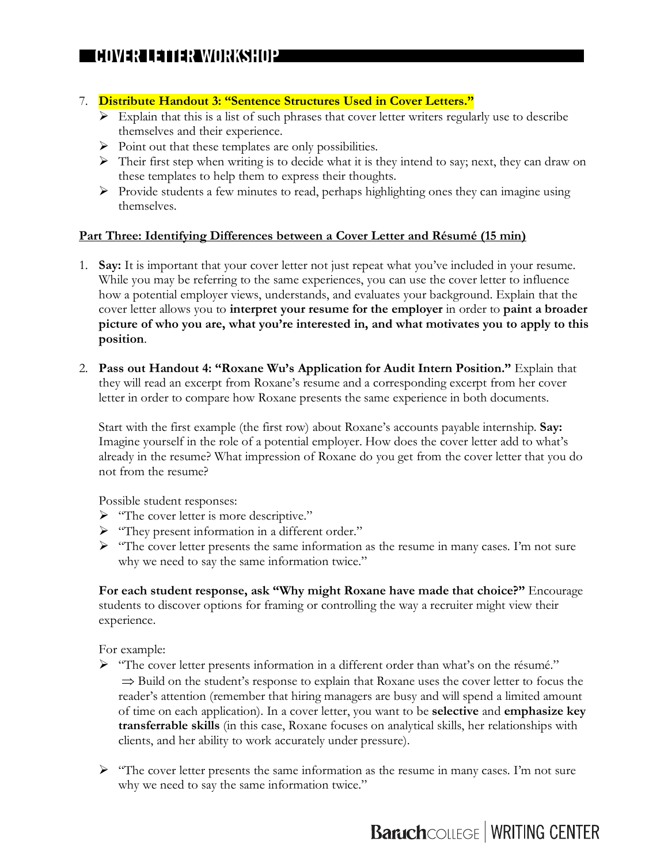#### 7. **Distribute Handout 3: "Sentence Structures Used in Cover Letters."**

- $\triangleright$  Explain that this is a list of such phrases that cover letter writers regularly use to describe themselves and their experience.
- $\triangleright$  Point out that these templates are only possibilities.
- $\triangleright$  Their first step when writing is to decide what it is they intend to say; next, they can draw on these templates to help them to express their thoughts.
- Ø Provide students a few minutes to read, perhaps highlighting ones they can imagine using themselves.

#### **Part Three: Identifying Differences between a Cover Letter and Résumé (15 min)**

- 1. **Say:** It is important that your cover letter not just repeat what you've included in your resume. While you may be referring to the same experiences, you can use the cover letter to influence how a potential employer views, understands, and evaluates your background. Explain that the cover letter allows you to **interpret your resume for the employer** in order to **paint a broader picture of who you are, what you're interested in, and what motivates you to apply to this position**.
- 2. **Pass out Handout 4: "Roxane Wu's Application for Audit Intern Position."** Explain that they will read an excerpt from Roxane's resume and a corresponding excerpt from her cover letter in order to compare how Roxane presents the same experience in both documents.

Start with the first example (the first row) about Roxane's accounts payable internship. **Say:** Imagine yourself in the role of a potential employer. How does the cover letter add to what's already in the resume? What impression of Roxane do you get from the cover letter that you do not from the resume?

Possible student responses:

- Ø "The cover letter is more descriptive."
- Ø "They present information in a different order."
- $\triangleright$  "The cover letter presents the same information as the resume in many cases. I'm not sure why we need to say the same information twice."

**For each student response, ask "Why might Roxane have made that choice?"** Encourage students to discover options for framing or controlling the way a recruiter might view their experience.

For example:

- Ø "The cover letter presents information in a different order than what's on the résumé."  $\Rightarrow$  Build on the student's response to explain that Roxane uses the cover letter to focus the reader's attention (remember that hiring managers are busy and will spend a limited amount of time on each application). In a cover letter, you want to be **selective** and **emphasize key transferrable skills** (in this case, Roxane focuses on analytical skills, her relationships with clients, and her ability to work accurately under pressure).
- $\triangleright$  "The cover letter presents the same information as the resume in many cases. I'm not sure why we need to say the same information twice."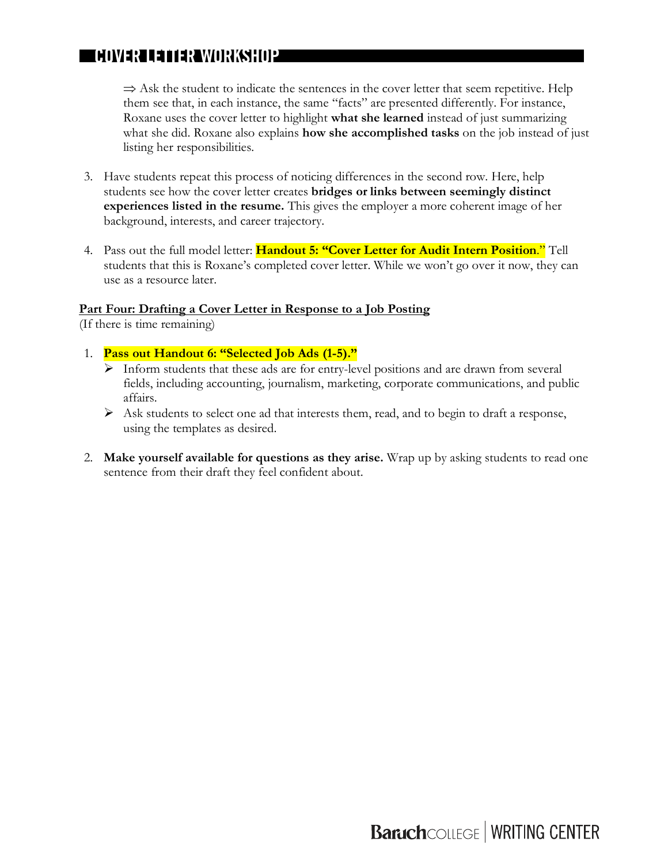$\Rightarrow$  Ask the student to indicate the sentences in the cover letter that seem repetitive. Help them see that, in each instance, the same "facts" are presented differently. For instance, Roxane uses the cover letter to highlight **what she learned** instead of just summarizing what she did. Roxane also explains **how she accomplished tasks** on the job instead of just listing her responsibilities.

- 3. Have students repeat this process of noticing differences in the second row. Here, help students see how the cover letter creates **bridges or links between seemingly distinct experiences listed in the resume.** This gives the employer a more coherent image of her background, interests, and career trajectory.
- 4. Pass out the full model letter: **Handout 5: "Cover Letter for Audit Intern Position**." Tell students that this is Roxane's completed cover letter. While we won't go over it now, they can use as a resource later.

#### **Part Four: Drafting a Cover Letter in Response to a Job Posting**

(If there is time remaining)

- 1. **Pass out Handout 6: "Selected Job Ads (1-5)."**
	- $\triangleright$  Inform students that these ads are for entry-level positions and are drawn from several fields, including accounting, journalism, marketing, corporate communications, and public affairs.
	- $\triangleright$  Ask students to select one ad that interests them, read, and to begin to draft a response, using the templates as desired.
- 2. **Make yourself available for questions as they arise.** Wrap up by asking students to read one sentence from their draft they feel confident about.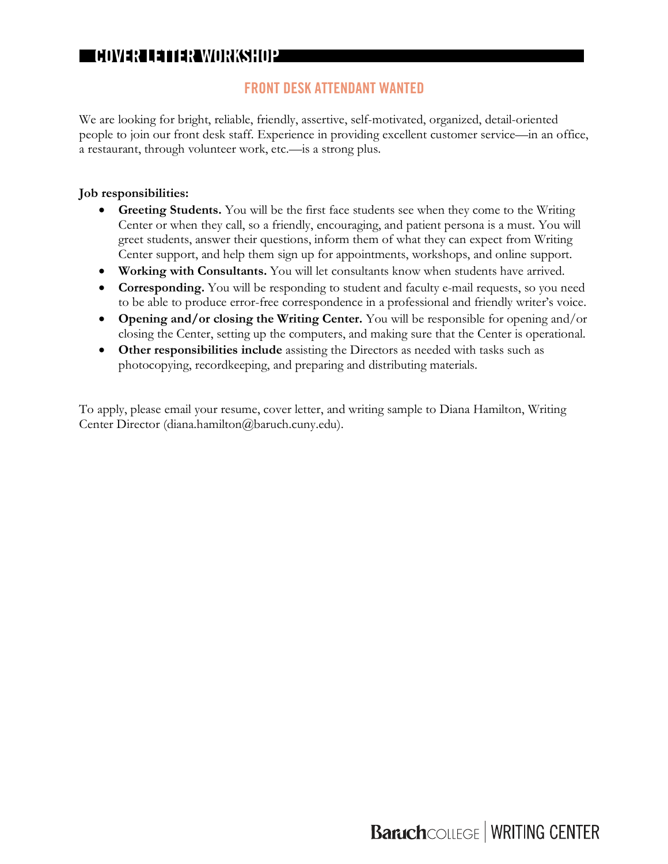## **FRONT DESK ATTENDANT WANTED**

We are looking for bright, reliable, friendly, assertive, self-motivated, organized, detail-oriented people to join our front desk staff. Experience in providing excellent customer service—in an office, a restaurant, through volunteer work, etc.—is a strong plus.

#### **Job responsibilities:**

- **Greeting Students.** You will be the first face students see when they come to the Writing Center or when they call, so a friendly, encouraging, and patient persona is a must. You will greet students, answer their questions, inform them of what they can expect from Writing Center support, and help them sign up for appointments, workshops, and online support.
- **Working with Consultants.** You will let consultants know when students have arrived.
- **Corresponding.** You will be responding to student and faculty e-mail requests, so you need to be able to produce error-free correspondence in a professional and friendly writer's voice.
- **Opening and/or closing the Writing Center.** You will be responsible for opening and/or closing the Center, setting up the computers, and making sure that the Center is operational.
- **Other responsibilities include** assisting the Directors as needed with tasks such as photocopying, recordkeeping, and preparing and distributing materials.

To apply, please email your resume, cover letter, and writing sample to Diana Hamilton, Writing Center Director (diana.hamilton@baruch.cuny.edu).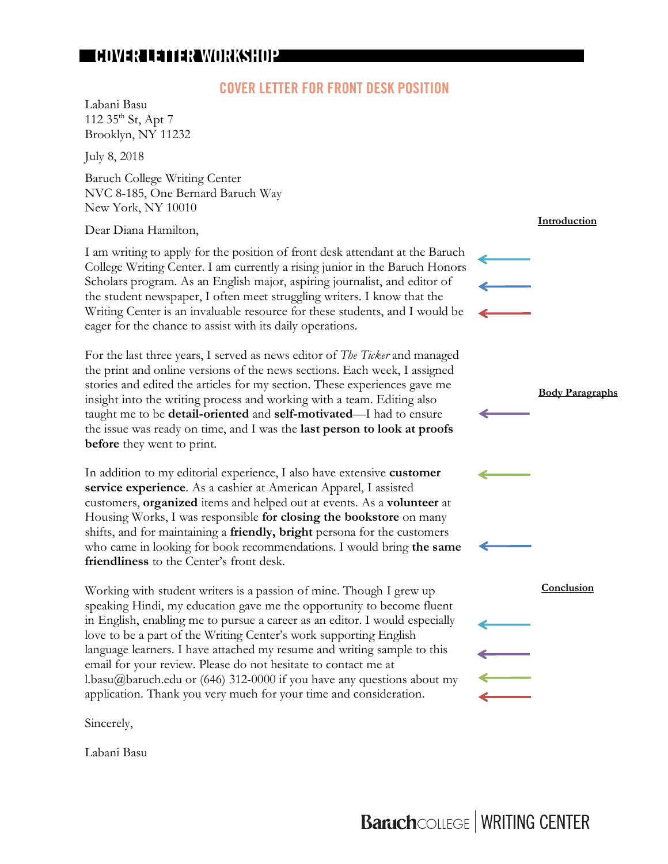#### **COVER LETTER FOR FRONT DESK POSITION**

Labani Basu 112  $35^{\text{th}}$  St, Apt 7 Brooklyn, NY 11232

July 8, 2018

Baruch College Writing Center NVC 8-185, One Bernard Baruch Way New York, NY 10010

Dear Diana Hamilton,

I am writing to apply for the position of front desk attendant at the Baruch College Writing Center. I am currently a rising junior in the Baruch Honors Scholars program. As an English major, aspiring journalist, and editor of the student newspaper, I often meet struggling writers. I know that the Writing Center is an invaluable resource for these students, and I would be eager for the chance to assist with its daily operations.

For the last three years, I served as news editor of *The Ticker* and managed the print and online versions of the news sections. Each week, I assigned stories and edited the articles for my section. These experiences gave me insight into the writing process and working with a team. Editing also taught me to be **detail-oriented** and **self-motivated**—I had to ensure the issue was ready on time, and I was the **last person to look at proofs before** they went to print.

In addition to my editorial experience, I also have extensive **customer service experience**. As a cashier at American Apparel, I assisted customers, **organized** items and helped out at events. As a **volunteer** at Housing Works, I was responsible **for closing the bookstore** on many shifts, and for maintaining a **friendly, bright** persona for the customers who came in looking for book recommendations. I would bring **the same friendliness** to the Center's front desk.

Working with student writers is a passion of mine. Though I grew up speaking Hindi, my education gave me the opportunity to become fluent in English, enabling me to pursue a career as an editor. I would especially love to be a part of the Writing Center's work supporting English language learners. I have attached my resume and writing sample to this email for your review. Please do not hesitate to contact me at l.basu@baruch.edu or (646) 312-0000 if you have any questions about my application. Thank you very much for your time and consideration.

Sincerely,

Labani Basu

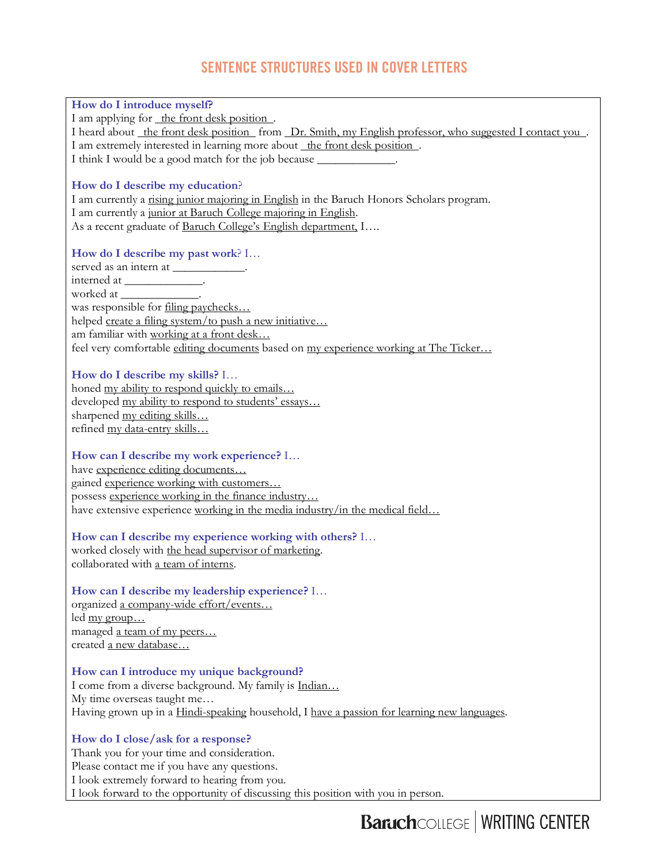## **SENTENCE STRUCTURES USED IN COVER LETTERS**

| I am applying for the front desk position.<br>I heard about the front desk position from Dr. Smith, my English professor, who suggested I contact you.<br>I am extremely interested in learning more about_the front desk position.<br>I think I would be a good match for the job because _____________.<br>How do I describe my education?<br>I am currently a rising junior majoring in English in the Baruch Honors Scholars program.<br>I am currently a junior at Baruch College majoring in English.<br>As a recent graduate of Baruch College's English department, I<br>How do I describe my past work? I<br>served as an intern at ____________.<br>interned at _______________.<br>worked at ________________.<br>was responsible for filing paychecks<br>helped create a filing system/to push a new initiative<br>am familiar with working at a front desk<br>feel very comfortable editing documents based on my experience working at The Ticker<br>How do I describe my skills? I<br>honed my ability to respond quickly to emails<br>developed my ability to respond to students' essays<br>sharpened my editing skills<br>refined my data-entry skills<br>How can I describe my work experience? I<br>have experience editing documents<br>gained experience working with customers<br>possess experience working in the finance industry<br>have extensive experience working in the media industry/in the medical field<br>How can I describe my experience working with others? I<br>worked closely with the head supervisor of marketing.<br>collaborated with a team of interns.<br>How can I describe my leadership experience? I<br>organized a company-wide effort/events<br>led <u>my group</u><br>managed a team of my peers<br>created a new database<br>How can I introduce my unique background?<br>I come from a diverse background. My family is Indian<br>My time overseas taught me<br>Having grown up in a Hindi-speaking household, I have a passion for learning new languages.<br>How do I close/ask for a response?<br>Thank you for your time and consideration.<br>Please contact me if you have any questions. |                                               |  |  |
|-----------------------------------------------------------------------------------------------------------------------------------------------------------------------------------------------------------------------------------------------------------------------------------------------------------------------------------------------------------------------------------------------------------------------------------------------------------------------------------------------------------------------------------------------------------------------------------------------------------------------------------------------------------------------------------------------------------------------------------------------------------------------------------------------------------------------------------------------------------------------------------------------------------------------------------------------------------------------------------------------------------------------------------------------------------------------------------------------------------------------------------------------------------------------------------------------------------------------------------------------------------------------------------------------------------------------------------------------------------------------------------------------------------------------------------------------------------------------------------------------------------------------------------------------------------------------------------------------------------------------------------------------------------------------------------------------------------------------------------------------------------------------------------------------------------------------------------------------------------------------------------------------------------------------------------------------------------------------------------------------------------------------------------------------------------------------------------------------------------------------------------------------------------|-----------------------------------------------|--|--|
|                                                                                                                                                                                                                                                                                                                                                                                                                                                                                                                                                                                                                                                                                                                                                                                                                                                                                                                                                                                                                                                                                                                                                                                                                                                                                                                                                                                                                                                                                                                                                                                                                                                                                                                                                                                                                                                                                                                                                                                                                                                                                                                                                           | How do I introduce myself?                    |  |  |
|                                                                                                                                                                                                                                                                                                                                                                                                                                                                                                                                                                                                                                                                                                                                                                                                                                                                                                                                                                                                                                                                                                                                                                                                                                                                                                                                                                                                                                                                                                                                                                                                                                                                                                                                                                                                                                                                                                                                                                                                                                                                                                                                                           |                                               |  |  |
|                                                                                                                                                                                                                                                                                                                                                                                                                                                                                                                                                                                                                                                                                                                                                                                                                                                                                                                                                                                                                                                                                                                                                                                                                                                                                                                                                                                                                                                                                                                                                                                                                                                                                                                                                                                                                                                                                                                                                                                                                                                                                                                                                           |                                               |  |  |
|                                                                                                                                                                                                                                                                                                                                                                                                                                                                                                                                                                                                                                                                                                                                                                                                                                                                                                                                                                                                                                                                                                                                                                                                                                                                                                                                                                                                                                                                                                                                                                                                                                                                                                                                                                                                                                                                                                                                                                                                                                                                                                                                                           |                                               |  |  |
|                                                                                                                                                                                                                                                                                                                                                                                                                                                                                                                                                                                                                                                                                                                                                                                                                                                                                                                                                                                                                                                                                                                                                                                                                                                                                                                                                                                                                                                                                                                                                                                                                                                                                                                                                                                                                                                                                                                                                                                                                                                                                                                                                           |                                               |  |  |
|                                                                                                                                                                                                                                                                                                                                                                                                                                                                                                                                                                                                                                                                                                                                                                                                                                                                                                                                                                                                                                                                                                                                                                                                                                                                                                                                                                                                                                                                                                                                                                                                                                                                                                                                                                                                                                                                                                                                                                                                                                                                                                                                                           |                                               |  |  |
|                                                                                                                                                                                                                                                                                                                                                                                                                                                                                                                                                                                                                                                                                                                                                                                                                                                                                                                                                                                                                                                                                                                                                                                                                                                                                                                                                                                                                                                                                                                                                                                                                                                                                                                                                                                                                                                                                                                                                                                                                                                                                                                                                           |                                               |  |  |
|                                                                                                                                                                                                                                                                                                                                                                                                                                                                                                                                                                                                                                                                                                                                                                                                                                                                                                                                                                                                                                                                                                                                                                                                                                                                                                                                                                                                                                                                                                                                                                                                                                                                                                                                                                                                                                                                                                                                                                                                                                                                                                                                                           |                                               |  |  |
|                                                                                                                                                                                                                                                                                                                                                                                                                                                                                                                                                                                                                                                                                                                                                                                                                                                                                                                                                                                                                                                                                                                                                                                                                                                                                                                                                                                                                                                                                                                                                                                                                                                                                                                                                                                                                                                                                                                                                                                                                                                                                                                                                           |                                               |  |  |
|                                                                                                                                                                                                                                                                                                                                                                                                                                                                                                                                                                                                                                                                                                                                                                                                                                                                                                                                                                                                                                                                                                                                                                                                                                                                                                                                                                                                                                                                                                                                                                                                                                                                                                                                                                                                                                                                                                                                                                                                                                                                                                                                                           |                                               |  |  |
|                                                                                                                                                                                                                                                                                                                                                                                                                                                                                                                                                                                                                                                                                                                                                                                                                                                                                                                                                                                                                                                                                                                                                                                                                                                                                                                                                                                                                                                                                                                                                                                                                                                                                                                                                                                                                                                                                                                                                                                                                                                                                                                                                           |                                               |  |  |
|                                                                                                                                                                                                                                                                                                                                                                                                                                                                                                                                                                                                                                                                                                                                                                                                                                                                                                                                                                                                                                                                                                                                                                                                                                                                                                                                                                                                                                                                                                                                                                                                                                                                                                                                                                                                                                                                                                                                                                                                                                                                                                                                                           |                                               |  |  |
|                                                                                                                                                                                                                                                                                                                                                                                                                                                                                                                                                                                                                                                                                                                                                                                                                                                                                                                                                                                                                                                                                                                                                                                                                                                                                                                                                                                                                                                                                                                                                                                                                                                                                                                                                                                                                                                                                                                                                                                                                                                                                                                                                           |                                               |  |  |
|                                                                                                                                                                                                                                                                                                                                                                                                                                                                                                                                                                                                                                                                                                                                                                                                                                                                                                                                                                                                                                                                                                                                                                                                                                                                                                                                                                                                                                                                                                                                                                                                                                                                                                                                                                                                                                                                                                                                                                                                                                                                                                                                                           |                                               |  |  |
|                                                                                                                                                                                                                                                                                                                                                                                                                                                                                                                                                                                                                                                                                                                                                                                                                                                                                                                                                                                                                                                                                                                                                                                                                                                                                                                                                                                                                                                                                                                                                                                                                                                                                                                                                                                                                                                                                                                                                                                                                                                                                                                                                           |                                               |  |  |
|                                                                                                                                                                                                                                                                                                                                                                                                                                                                                                                                                                                                                                                                                                                                                                                                                                                                                                                                                                                                                                                                                                                                                                                                                                                                                                                                                                                                                                                                                                                                                                                                                                                                                                                                                                                                                                                                                                                                                                                                                                                                                                                                                           |                                               |  |  |
|                                                                                                                                                                                                                                                                                                                                                                                                                                                                                                                                                                                                                                                                                                                                                                                                                                                                                                                                                                                                                                                                                                                                                                                                                                                                                                                                                                                                                                                                                                                                                                                                                                                                                                                                                                                                                                                                                                                                                                                                                                                                                                                                                           |                                               |  |  |
|                                                                                                                                                                                                                                                                                                                                                                                                                                                                                                                                                                                                                                                                                                                                                                                                                                                                                                                                                                                                                                                                                                                                                                                                                                                                                                                                                                                                                                                                                                                                                                                                                                                                                                                                                                                                                                                                                                                                                                                                                                                                                                                                                           |                                               |  |  |
|                                                                                                                                                                                                                                                                                                                                                                                                                                                                                                                                                                                                                                                                                                                                                                                                                                                                                                                                                                                                                                                                                                                                                                                                                                                                                                                                                                                                                                                                                                                                                                                                                                                                                                                                                                                                                                                                                                                                                                                                                                                                                                                                                           |                                               |  |  |
|                                                                                                                                                                                                                                                                                                                                                                                                                                                                                                                                                                                                                                                                                                                                                                                                                                                                                                                                                                                                                                                                                                                                                                                                                                                                                                                                                                                                                                                                                                                                                                                                                                                                                                                                                                                                                                                                                                                                                                                                                                                                                                                                                           |                                               |  |  |
|                                                                                                                                                                                                                                                                                                                                                                                                                                                                                                                                                                                                                                                                                                                                                                                                                                                                                                                                                                                                                                                                                                                                                                                                                                                                                                                                                                                                                                                                                                                                                                                                                                                                                                                                                                                                                                                                                                                                                                                                                                                                                                                                                           |                                               |  |  |
|                                                                                                                                                                                                                                                                                                                                                                                                                                                                                                                                                                                                                                                                                                                                                                                                                                                                                                                                                                                                                                                                                                                                                                                                                                                                                                                                                                                                                                                                                                                                                                                                                                                                                                                                                                                                                                                                                                                                                                                                                                                                                                                                                           |                                               |  |  |
|                                                                                                                                                                                                                                                                                                                                                                                                                                                                                                                                                                                                                                                                                                                                                                                                                                                                                                                                                                                                                                                                                                                                                                                                                                                                                                                                                                                                                                                                                                                                                                                                                                                                                                                                                                                                                                                                                                                                                                                                                                                                                                                                                           |                                               |  |  |
|                                                                                                                                                                                                                                                                                                                                                                                                                                                                                                                                                                                                                                                                                                                                                                                                                                                                                                                                                                                                                                                                                                                                                                                                                                                                                                                                                                                                                                                                                                                                                                                                                                                                                                                                                                                                                                                                                                                                                                                                                                                                                                                                                           |                                               |  |  |
|                                                                                                                                                                                                                                                                                                                                                                                                                                                                                                                                                                                                                                                                                                                                                                                                                                                                                                                                                                                                                                                                                                                                                                                                                                                                                                                                                                                                                                                                                                                                                                                                                                                                                                                                                                                                                                                                                                                                                                                                                                                                                                                                                           |                                               |  |  |
|                                                                                                                                                                                                                                                                                                                                                                                                                                                                                                                                                                                                                                                                                                                                                                                                                                                                                                                                                                                                                                                                                                                                                                                                                                                                                                                                                                                                                                                                                                                                                                                                                                                                                                                                                                                                                                                                                                                                                                                                                                                                                                                                                           |                                               |  |  |
|                                                                                                                                                                                                                                                                                                                                                                                                                                                                                                                                                                                                                                                                                                                                                                                                                                                                                                                                                                                                                                                                                                                                                                                                                                                                                                                                                                                                                                                                                                                                                                                                                                                                                                                                                                                                                                                                                                                                                                                                                                                                                                                                                           |                                               |  |  |
|                                                                                                                                                                                                                                                                                                                                                                                                                                                                                                                                                                                                                                                                                                                                                                                                                                                                                                                                                                                                                                                                                                                                                                                                                                                                                                                                                                                                                                                                                                                                                                                                                                                                                                                                                                                                                                                                                                                                                                                                                                                                                                                                                           |                                               |  |  |
|                                                                                                                                                                                                                                                                                                                                                                                                                                                                                                                                                                                                                                                                                                                                                                                                                                                                                                                                                                                                                                                                                                                                                                                                                                                                                                                                                                                                                                                                                                                                                                                                                                                                                                                                                                                                                                                                                                                                                                                                                                                                                                                                                           |                                               |  |  |
|                                                                                                                                                                                                                                                                                                                                                                                                                                                                                                                                                                                                                                                                                                                                                                                                                                                                                                                                                                                                                                                                                                                                                                                                                                                                                                                                                                                                                                                                                                                                                                                                                                                                                                                                                                                                                                                                                                                                                                                                                                                                                                                                                           |                                               |  |  |
|                                                                                                                                                                                                                                                                                                                                                                                                                                                                                                                                                                                                                                                                                                                                                                                                                                                                                                                                                                                                                                                                                                                                                                                                                                                                                                                                                                                                                                                                                                                                                                                                                                                                                                                                                                                                                                                                                                                                                                                                                                                                                                                                                           |                                               |  |  |
|                                                                                                                                                                                                                                                                                                                                                                                                                                                                                                                                                                                                                                                                                                                                                                                                                                                                                                                                                                                                                                                                                                                                                                                                                                                                                                                                                                                                                                                                                                                                                                                                                                                                                                                                                                                                                                                                                                                                                                                                                                                                                                                                                           |                                               |  |  |
|                                                                                                                                                                                                                                                                                                                                                                                                                                                                                                                                                                                                                                                                                                                                                                                                                                                                                                                                                                                                                                                                                                                                                                                                                                                                                                                                                                                                                                                                                                                                                                                                                                                                                                                                                                                                                                                                                                                                                                                                                                                                                                                                                           |                                               |  |  |
|                                                                                                                                                                                                                                                                                                                                                                                                                                                                                                                                                                                                                                                                                                                                                                                                                                                                                                                                                                                                                                                                                                                                                                                                                                                                                                                                                                                                                                                                                                                                                                                                                                                                                                                                                                                                                                                                                                                                                                                                                                                                                                                                                           |                                               |  |  |
|                                                                                                                                                                                                                                                                                                                                                                                                                                                                                                                                                                                                                                                                                                                                                                                                                                                                                                                                                                                                                                                                                                                                                                                                                                                                                                                                                                                                                                                                                                                                                                                                                                                                                                                                                                                                                                                                                                                                                                                                                                                                                                                                                           |                                               |  |  |
|                                                                                                                                                                                                                                                                                                                                                                                                                                                                                                                                                                                                                                                                                                                                                                                                                                                                                                                                                                                                                                                                                                                                                                                                                                                                                                                                                                                                                                                                                                                                                                                                                                                                                                                                                                                                                                                                                                                                                                                                                                                                                                                                                           |                                               |  |  |
|                                                                                                                                                                                                                                                                                                                                                                                                                                                                                                                                                                                                                                                                                                                                                                                                                                                                                                                                                                                                                                                                                                                                                                                                                                                                                                                                                                                                                                                                                                                                                                                                                                                                                                                                                                                                                                                                                                                                                                                                                                                                                                                                                           |                                               |  |  |
|                                                                                                                                                                                                                                                                                                                                                                                                                                                                                                                                                                                                                                                                                                                                                                                                                                                                                                                                                                                                                                                                                                                                                                                                                                                                                                                                                                                                                                                                                                                                                                                                                                                                                                                                                                                                                                                                                                                                                                                                                                                                                                                                                           |                                               |  |  |
|                                                                                                                                                                                                                                                                                                                                                                                                                                                                                                                                                                                                                                                                                                                                                                                                                                                                                                                                                                                                                                                                                                                                                                                                                                                                                                                                                                                                                                                                                                                                                                                                                                                                                                                                                                                                                                                                                                                                                                                                                                                                                                                                                           |                                               |  |  |
|                                                                                                                                                                                                                                                                                                                                                                                                                                                                                                                                                                                                                                                                                                                                                                                                                                                                                                                                                                                                                                                                                                                                                                                                                                                                                                                                                                                                                                                                                                                                                                                                                                                                                                                                                                                                                                                                                                                                                                                                                                                                                                                                                           |                                               |  |  |
|                                                                                                                                                                                                                                                                                                                                                                                                                                                                                                                                                                                                                                                                                                                                                                                                                                                                                                                                                                                                                                                                                                                                                                                                                                                                                                                                                                                                                                                                                                                                                                                                                                                                                                                                                                                                                                                                                                                                                                                                                                                                                                                                                           |                                               |  |  |
|                                                                                                                                                                                                                                                                                                                                                                                                                                                                                                                                                                                                                                                                                                                                                                                                                                                                                                                                                                                                                                                                                                                                                                                                                                                                                                                                                                                                                                                                                                                                                                                                                                                                                                                                                                                                                                                                                                                                                                                                                                                                                                                                                           |                                               |  |  |
|                                                                                                                                                                                                                                                                                                                                                                                                                                                                                                                                                                                                                                                                                                                                                                                                                                                                                                                                                                                                                                                                                                                                                                                                                                                                                                                                                                                                                                                                                                                                                                                                                                                                                                                                                                                                                                                                                                                                                                                                                                                                                                                                                           |                                               |  |  |
|                                                                                                                                                                                                                                                                                                                                                                                                                                                                                                                                                                                                                                                                                                                                                                                                                                                                                                                                                                                                                                                                                                                                                                                                                                                                                                                                                                                                                                                                                                                                                                                                                                                                                                                                                                                                                                                                                                                                                                                                                                                                                                                                                           |                                               |  |  |
|                                                                                                                                                                                                                                                                                                                                                                                                                                                                                                                                                                                                                                                                                                                                                                                                                                                                                                                                                                                                                                                                                                                                                                                                                                                                                                                                                                                                                                                                                                                                                                                                                                                                                                                                                                                                                                                                                                                                                                                                                                                                                                                                                           |                                               |  |  |
|                                                                                                                                                                                                                                                                                                                                                                                                                                                                                                                                                                                                                                                                                                                                                                                                                                                                                                                                                                                                                                                                                                                                                                                                                                                                                                                                                                                                                                                                                                                                                                                                                                                                                                                                                                                                                                                                                                                                                                                                                                                                                                                                                           |                                               |  |  |
|                                                                                                                                                                                                                                                                                                                                                                                                                                                                                                                                                                                                                                                                                                                                                                                                                                                                                                                                                                                                                                                                                                                                                                                                                                                                                                                                                                                                                                                                                                                                                                                                                                                                                                                                                                                                                                                                                                                                                                                                                                                                                                                                                           |                                               |  |  |
|                                                                                                                                                                                                                                                                                                                                                                                                                                                                                                                                                                                                                                                                                                                                                                                                                                                                                                                                                                                                                                                                                                                                                                                                                                                                                                                                                                                                                                                                                                                                                                                                                                                                                                                                                                                                                                                                                                                                                                                                                                                                                                                                                           |                                               |  |  |
|                                                                                                                                                                                                                                                                                                                                                                                                                                                                                                                                                                                                                                                                                                                                                                                                                                                                                                                                                                                                                                                                                                                                                                                                                                                                                                                                                                                                                                                                                                                                                                                                                                                                                                                                                                                                                                                                                                                                                                                                                                                                                                                                                           |                                               |  |  |
|                                                                                                                                                                                                                                                                                                                                                                                                                                                                                                                                                                                                                                                                                                                                                                                                                                                                                                                                                                                                                                                                                                                                                                                                                                                                                                                                                                                                                                                                                                                                                                                                                                                                                                                                                                                                                                                                                                                                                                                                                                                                                                                                                           |                                               |  |  |
|                                                                                                                                                                                                                                                                                                                                                                                                                                                                                                                                                                                                                                                                                                                                                                                                                                                                                                                                                                                                                                                                                                                                                                                                                                                                                                                                                                                                                                                                                                                                                                                                                                                                                                                                                                                                                                                                                                                                                                                                                                                                                                                                                           |                                               |  |  |
|                                                                                                                                                                                                                                                                                                                                                                                                                                                                                                                                                                                                                                                                                                                                                                                                                                                                                                                                                                                                                                                                                                                                                                                                                                                                                                                                                                                                                                                                                                                                                                                                                                                                                                                                                                                                                                                                                                                                                                                                                                                                                                                                                           |                                               |  |  |
|                                                                                                                                                                                                                                                                                                                                                                                                                                                                                                                                                                                                                                                                                                                                                                                                                                                                                                                                                                                                                                                                                                                                                                                                                                                                                                                                                                                                                                                                                                                                                                                                                                                                                                                                                                                                                                                                                                                                                                                                                                                                                                                                                           |                                               |  |  |
|                                                                                                                                                                                                                                                                                                                                                                                                                                                                                                                                                                                                                                                                                                                                                                                                                                                                                                                                                                                                                                                                                                                                                                                                                                                                                                                                                                                                                                                                                                                                                                                                                                                                                                                                                                                                                                                                                                                                                                                                                                                                                                                                                           | I look extremely forward to hearing from you. |  |  |
| I look forward to the opportunity of discussing this position with you in person.                                                                                                                                                                                                                                                                                                                                                                                                                                                                                                                                                                                                                                                                                                                                                                                                                                                                                                                                                                                                                                                                                                                                                                                                                                                                                                                                                                                                                                                                                                                                                                                                                                                                                                                                                                                                                                                                                                                                                                                                                                                                         |                                               |  |  |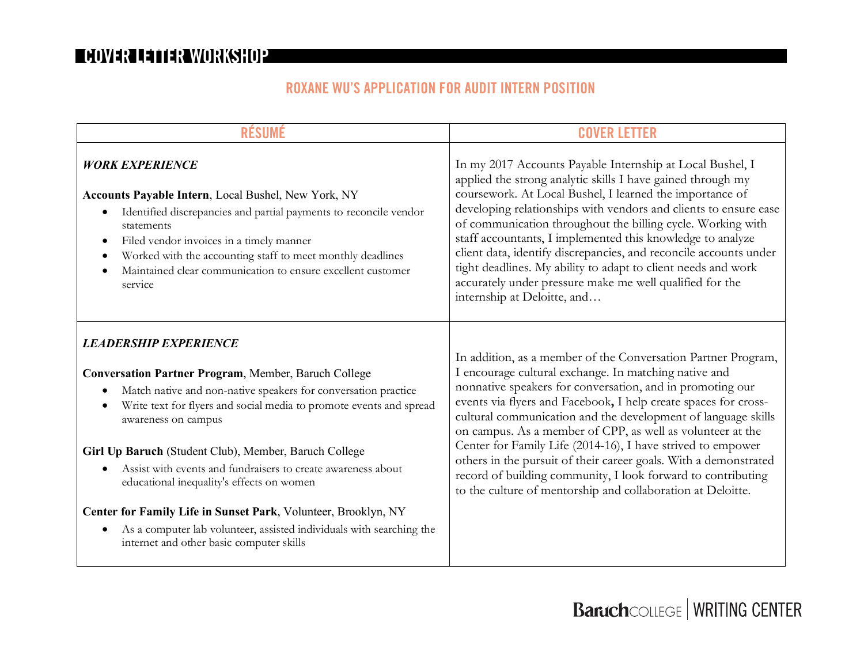## **ROXANE WU'S APPLICATION FOR AUDIT INTERN POSITION**

| <b>RÉSUMÉ</b>                                                                                                                                                                                                                                                                                                                                                                                                                                                                                                                                                                                                    | <b>COVER LETTER</b>                                                                                                                                                                                                                                                                                                                                                                                                                                                                                                                                                                                                                                     |
|------------------------------------------------------------------------------------------------------------------------------------------------------------------------------------------------------------------------------------------------------------------------------------------------------------------------------------------------------------------------------------------------------------------------------------------------------------------------------------------------------------------------------------------------------------------------------------------------------------------|---------------------------------------------------------------------------------------------------------------------------------------------------------------------------------------------------------------------------------------------------------------------------------------------------------------------------------------------------------------------------------------------------------------------------------------------------------------------------------------------------------------------------------------------------------------------------------------------------------------------------------------------------------|
| <b>WORK EXPERIENCE</b><br><b>Accounts Payable Intern, Local Bushel, New York, NY</b><br>Identified discrepancies and partial payments to reconcile vendor<br>$\bullet$<br>statements<br>Filed vendor invoices in a timely manner<br>$\bullet$<br>Worked with the accounting staff to meet monthly deadlines<br>Maintained clear communication to ensure excellent customer<br>service                                                                                                                                                                                                                            | In my 2017 Accounts Payable Internship at Local Bushel, I<br>applied the strong analytic skills I have gained through my<br>coursework. At Local Bushel, I learned the importance of<br>developing relationships with vendors and clients to ensure ease<br>of communication throughout the billing cycle. Working with<br>staff accountants, I implemented this knowledge to analyze<br>client data, identify discrepancies, and reconcile accounts under<br>tight deadlines. My ability to adapt to client needs and work<br>accurately under pressure make me well qualified for the<br>internship at Deloitte, and                                  |
| <b>LEADERSHIP EXPERIENCE</b><br>Conversation Partner Program, Member, Baruch College<br>Match native and non-native speakers for conversation practice<br>Write text for flyers and social media to promote events and spread<br>awareness on campus<br>Girl Up Baruch (Student Club), Member, Baruch College<br>Assist with events and fundraisers to create awareness about<br>educational inequality's effects on women<br>Center for Family Life in Sunset Park, Volunteer, Brooklyn, NY<br>As a computer lab volunteer, assisted individuals with searching the<br>internet and other basic computer skills | In addition, as a member of the Conversation Partner Program,<br>I encourage cultural exchange. In matching native and<br>nonnative speakers for conversation, and in promoting our<br>events via flyers and Facebook, I help create spaces for cross-<br>cultural communication and the development of language skills<br>on campus. As a member of CPP, as well as volunteer at the<br>Center for Family Life (2014-16), I have strived to empower<br>others in the pursuit of their career goals. With a demonstrated<br>record of building community, I look forward to contributing<br>to the culture of mentorship and collaboration at Deloitte. |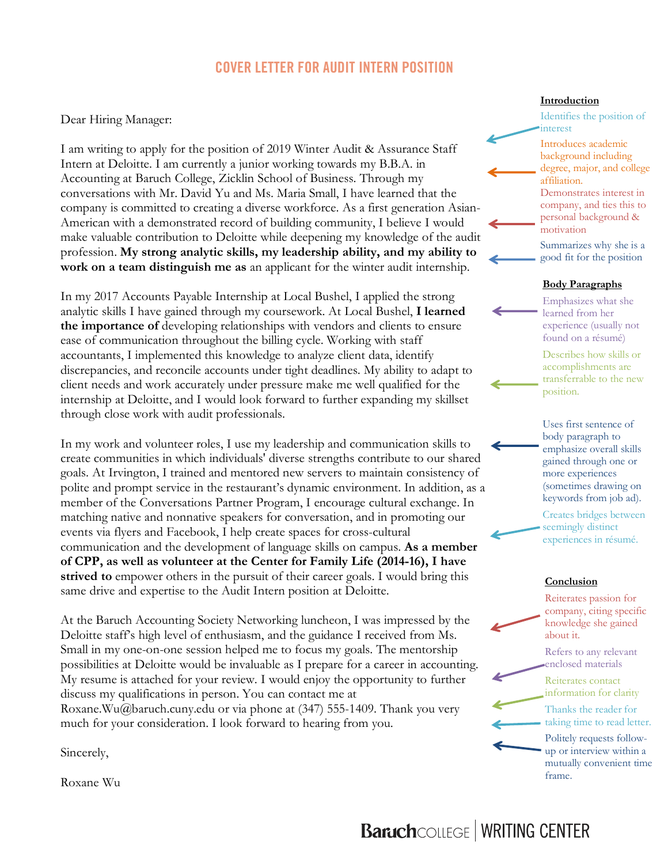## **COVER LETTER FOR AUDIT INTERN POSITION**

Dear Hiring Manager:

I am writing to apply for the position of 2019 Winter Audit & Assurance Staff Intern at Deloitte. I am currently a junior working towards my B.B.A. in Accounting at Baruch College, Zicklin School of Business. Through my conversations with Mr. David Yu and Ms. Maria Small, I have learned that the company is committed to creating a diverse workforce. As a first generation Asian-American with a demonstrated record of building community, I believe I would make valuable contribution to Deloitte while deepening my knowledge of the audit profession. **My strong analytic skills, my leadership ability, and my ability to work on a team distinguish me as** an applicant for the winter audit internship.

In my 2017 Accounts Payable Internship at Local Bushel, I applied the strong analytic skills I have gained through my coursework. At Local Bushel, **I learned the importance of** developing relationships with vendors and clients to ensure ease of communication throughout the billing cycle. Working with staff accountants, I implemented this knowledge to analyze client data, identify discrepancies, and reconcile accounts under tight deadlines. My ability to adapt to client needs and work accurately under pressure make me well qualified for the internship at Deloitte, and I would look forward to further expanding my skillset through close work with audit professionals.

In my work and volunteer roles, I use my leadership and communication skills to create communities in which individuals' diverse strengths contribute to our shared goals. At Irvington, I trained and mentored new servers to maintain consistency of polite and prompt service in the restaurant's dynamic environment. In addition, as a member of the Conversations Partner Program, I encourage cultural exchange. In matching native and nonnative speakers for conversation, and in promoting our events via flyers and Facebook, I help create spaces for cross-cultural communication and the development of language skills on campus. **As a member of CPP, as well as volunteer at the Center for Family Life (2014-16), I have strived to** empower others in the pursuit of their career goals. I would bring this same drive and expertise to the Audit Intern position at Deloitte.

At the Baruch Accounting Society Networking luncheon, I was impressed by the Deloitte staff's high level of enthusiasm, and the guidance I received from Ms. Small in my one-on-one session helped me to focus my goals. The mentorship possibilities at Deloitte would be invaluable as I prepare for a career in accounting. My resume is attached for your review. I would enjoy the opportunity to further discuss my qualifications in person. You can contact me at Roxane.Wu@baruch.cuny.edu or via phone at (347) 555-1409. Thank you very much for your consideration. I look forward to hearing from you.

Sincerely,

Roxane Wu

#### **Introduction**

Identifies the position of interest Introduces academic background including degree, major, and college

affiliation. Demonstrates interest in company, and ties this to personal background & motivation

Summarizes why she is a good fit for the position

#### **Body Paragraphs**

Emphasizes what she learned from her experience (usually not found on a résumé)

Describes how skills or accomplishments are transferrable to the new position.

Uses first sentence of body paragraph to emphasize overall skills gained through one or more experiences (sometimes drawing on keywords from job ad).

Creates bridges between seemingly distinct experiences in résumé.

#### **Conclusion**

Reiterates passion for company, citing specific knowledge she gained about it.

Refers to any relevant enclosed materials

Reiterates contact information for clarity

Thanks the reader for taking time to read letter.

Politely requests followup or interview within a mutually convenient time frame.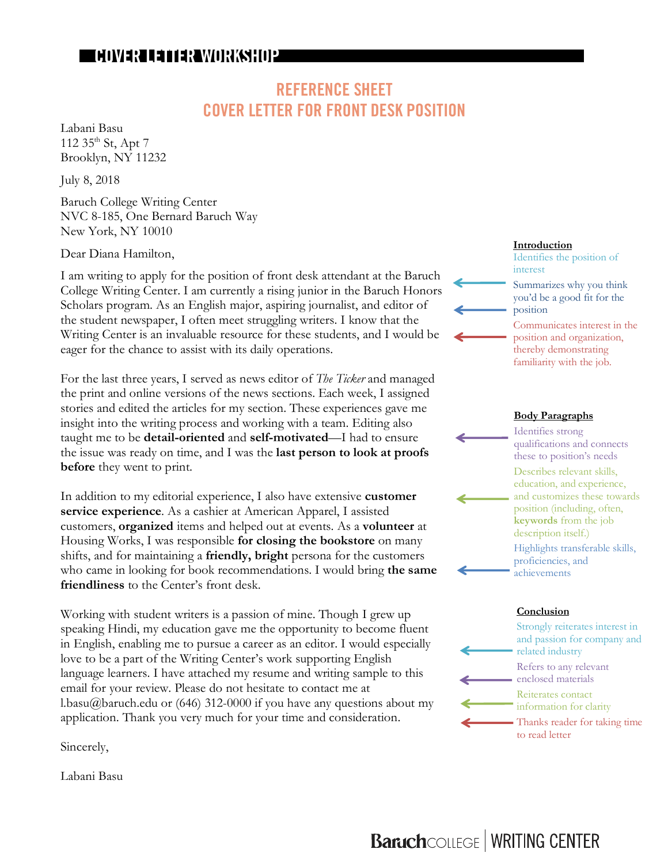## **REFERENCE SHEET COVER LETTER FOR FRONT DESK POSITION**

Labani Basu 112  $35^{\text{th}}$  St, Apt 7 Brooklyn, NY 11232

July 8, 2018

Baruch College Writing Center NVC 8-185, One Bernard Baruch Way New York, NY 10010

Dear Diana Hamilton,

I am writing to apply for the position of front desk attendant at the Baruch College Writing Center. I am currently a rising junior in the Baruch Honors Scholars program. As an English major, aspiring journalist, and editor of the student newspaper, I often meet struggling writers. I know that the Writing Center is an invaluable resource for these students, and I would be eager for the chance to assist with its daily operations.

For the last three years, I served as news editor of *The Ticker* and managed the print and online versions of the news sections. Each week, I assigned stories and edited the articles for my section. These experiences gave me insight into the writing process and working with a team. Editing also taught me to be **detail-oriented** and **self-motivated**—I had to ensure the issue was ready on time, and I was the **last person to look at proofs before** they went to print.

In addition to my editorial experience, I also have extensive **customer service experience**. As a cashier at American Apparel, I assisted customers, **organized** items and helped out at events. As a **volunteer** at Housing Works, I was responsible **for closing the bookstore** on many shifts, and for maintaining a **friendly, bright** persona for the customers who came in looking for book recommendations. I would bring **the same friendliness** to the Center's front desk.

Working with student writers is a passion of mine. Though I grew up speaking Hindi, my education gave me the opportunity to become fluent in English, enabling me to pursue a career as an editor. I would especially love to be a part of the Writing Center's work supporting English language learners. I have attached my resume and writing sample to this email for your review. Please do not hesitate to contact me at l.basu@baruch.edu or (646) 312-0000 if you have any questions about my application. Thank you very much for your time and consideration.

Sincerely,

Labani Basu

#### **Introduction**

Identifies the position of interest Summarizes why you think you'd be a good fit for the position Communicates interest in the position and organization, thereby demonstrating

# familiarity with the job.

#### **Body Paragraphs**

Identifies strong qualifications and connects these to position's needs Describes relevant skills, education, and experience, and customizes these towards position (including, often, **keywords** from the job description itself.) Highlights transferable skills, proficiencies, and achievements

#### **Conclusion**



Strongly reiterates interest in and passion for company and related industry Refers to any relevant enclosed materials Reiterates contact information for clarity Thanks reader for taking time to read letter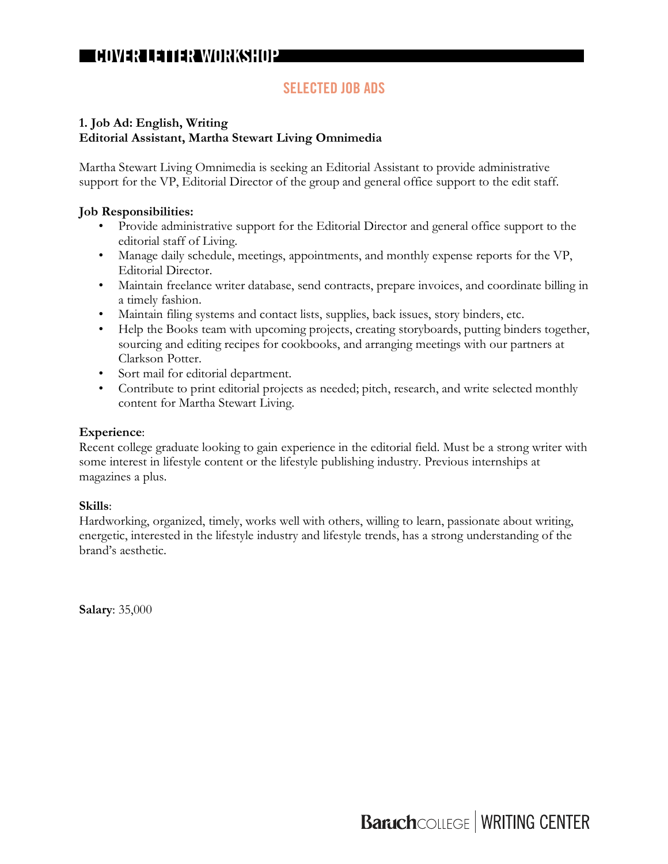## **SELECTED JOB ADS**

#### **1. Job Ad: English, Writing Editorial Assistant, Martha Stewart Living Omnimedia**

Martha Stewart Living Omnimedia is seeking an Editorial Assistant to provide administrative support for the VP, Editorial Director of the group and general office support to the edit staff.

#### **Job Responsibilities:**

- Provide administrative support for the Editorial Director and general office support to the editorial staff of Living.
- Manage daily schedule, meetings, appointments, and monthly expense reports for the VP, Editorial Director.
- Maintain freelance writer database, send contracts, prepare invoices, and coordinate billing in a timely fashion.
- Maintain filing systems and contact lists, supplies, back issues, story binders, etc.
- Help the Books team with upcoming projects, creating storyboards, putting binders together, sourcing and editing recipes for cookbooks, and arranging meetings with our partners at Clarkson Potter.
- Sort mail for editorial department.
- Contribute to print editorial projects as needed; pitch, research, and write selected monthly content for Martha Stewart Living.

#### **Experience**:

Recent college graduate looking to gain experience in the editorial field. Must be a strong writer with some interest in lifestyle content or the lifestyle publishing industry. Previous internships at magazines a plus.

#### **Skills**:

Hardworking, organized, timely, works well with others, willing to learn, passionate about writing, energetic, interested in the lifestyle industry and lifestyle trends, has a strong understanding of the brand's aesthetic.

**Salary**: 35,000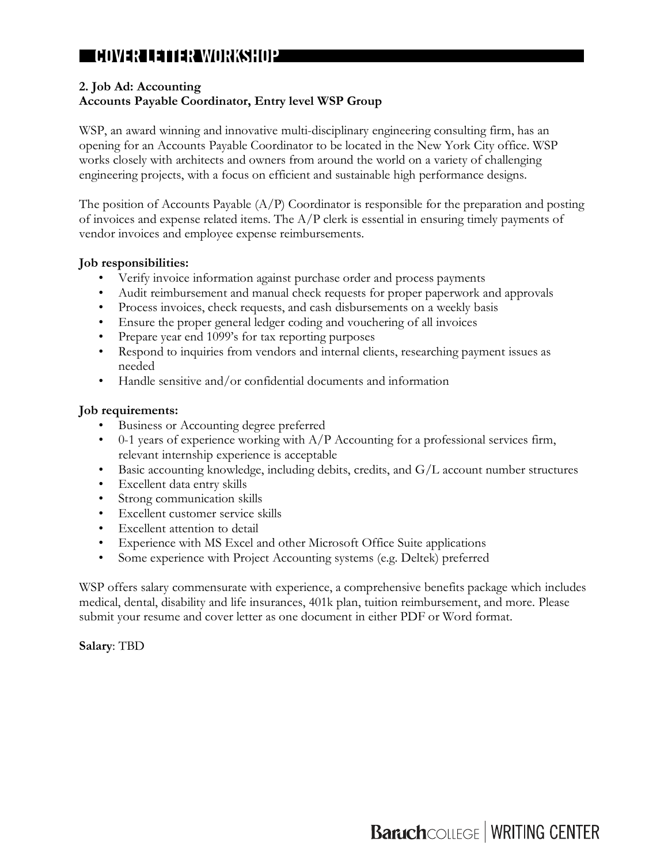#### **2. Job Ad: Accounting**

#### **Accounts Payable Coordinator, Entry level WSP Group**

WSP, an award winning and innovative multi-disciplinary engineering consulting firm, has an opening for an Accounts Payable Coordinator to be located in the New York City office. WSP works closely with architects and owners from around the world on a variety of challenging engineering projects, with a focus on efficient and sustainable high performance designs.

The position of Accounts Payable (A/P) Coordinator is responsible for the preparation and posting of invoices and expense related items. The A/P clerk is essential in ensuring timely payments of vendor invoices and employee expense reimbursements.

#### **Job responsibilities:**

- Verify invoice information against purchase order and process payments
- Audit reimbursement and manual check requests for proper paperwork and approvals
- Process invoices, check requests, and cash disbursements on a weekly basis
- Ensure the proper general ledger coding and vouchering of all invoices
- Prepare year end 1099's for tax reporting purposes
- Respond to inquiries from vendors and internal clients, researching payment issues as needed
- Handle sensitive and/or confidential documents and information

#### **Job requirements:**

- Business or Accounting degree preferred
- 0-1 years of experience working with A/P Accounting for a professional services firm, relevant internship experience is acceptable
- Basic accounting knowledge, including debits, credits, and G/L account number structures
- Excellent data entry skills
- Strong communication skills
- Excellent customer service skills
- Excellent attention to detail
- Experience with MS Excel and other Microsoft Office Suite applications
- Some experience with Project Accounting systems (e.g. Deltek) preferred

WSP offers salary commensurate with experience, a comprehensive benefits package which includes medical, dental, disability and life insurances, 401k plan, tuition reimbursement, and more. Please submit your resume and cover letter as one document in either PDF or Word format.

**Salary**: TBD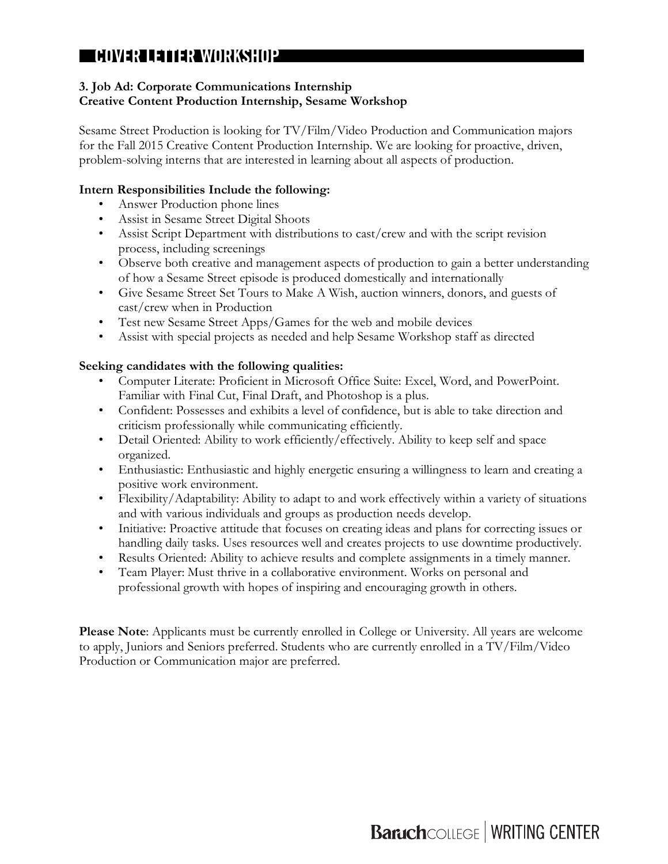#### **3. Job Ad: Corporate Communications Internship Creative Content Production Internship, Sesame Workshop**

Sesame Street Production is looking for TV/Film/Video Production and Communication majors for the Fall 2015 Creative Content Production Internship. We are looking for proactive, driven, problem-solving interns that are interested in learning about all aspects of production.

#### **Intern Responsibilities Include the following:**

- Answer Production phone lines
- Assist in Sesame Street Digital Shoots
- Assist Script Department with distributions to cast/crew and with the script revision process, including screenings
- Observe both creative and management aspects of production to gain a better understanding of how a Sesame Street episode is produced domestically and internationally
- Give Sesame Street Set Tours to Make A Wish, auction winners, donors, and guests of cast/crew when in Production
- Test new Sesame Street Apps/Games for the web and mobile devices
- Assist with special projects as needed and help Sesame Workshop staff as directed

#### **Seeking candidates with the following qualities:**

- Computer Literate: Proficient in Microsoft Office Suite: Excel, Word, and PowerPoint. Familiar with Final Cut, Final Draft, and Photoshop is a plus.
- Confident: Possesses and exhibits a level of confidence, but is able to take direction and criticism professionally while communicating efficiently.
- Detail Oriented: Ability to work efficiently/effectively. Ability to keep self and space organized.
- Enthusiastic: Enthusiastic and highly energetic ensuring a willingness to learn and creating a positive work environment.
- Flexibility/Adaptability: Ability to adapt to and work effectively within a variety of situations and with various individuals and groups as production needs develop.
- Initiative: Proactive attitude that focuses on creating ideas and plans for correcting issues or handling daily tasks. Uses resources well and creates projects to use downtime productively.
- Results Oriented: Ability to achieve results and complete assignments in a timely manner.
- Team Player: Must thrive in a collaborative environment. Works on personal and professional growth with hopes of inspiring and encouraging growth in others.

**Please Note**: Applicants must be currently enrolled in College or University. All years are welcome to apply, Juniors and Seniors preferred. Students who are currently enrolled in a TV/Film/Video Production or Communication major are preferred.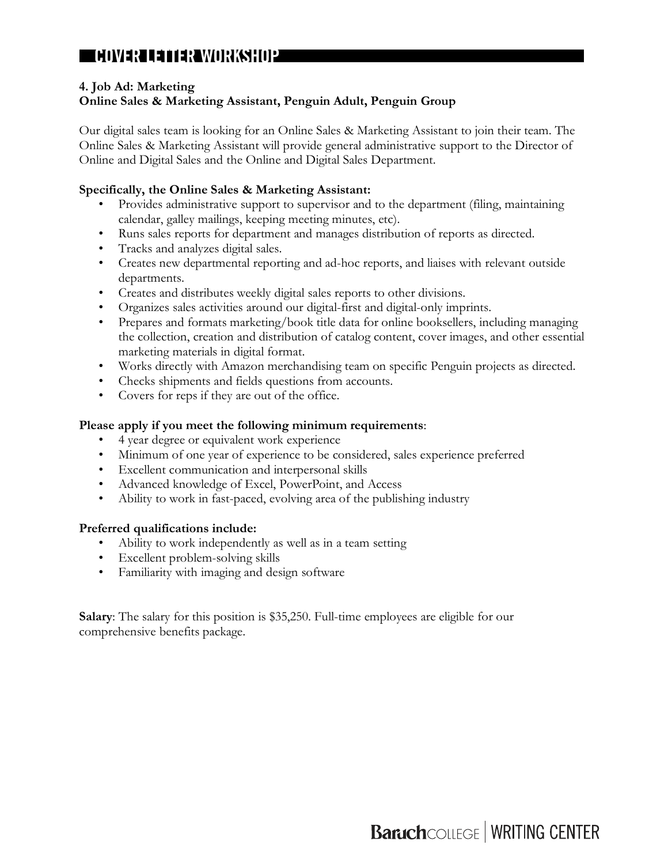#### **4. Job Ad: Marketing**

#### **Online Sales & Marketing Assistant, Penguin Adult, Penguin Group**

Our digital sales team is looking for an Online Sales & Marketing Assistant to join their team. The Online Sales & Marketing Assistant will provide general administrative support to the Director of Online and Digital Sales and the Online and Digital Sales Department.

#### **Specifically, the Online Sales & Marketing Assistant:**

- Provides administrative support to supervisor and to the department (filing, maintaining calendar, galley mailings, keeping meeting minutes, etc).
- Runs sales reports for department and manages distribution of reports as directed.
- Tracks and analyzes digital sales.
- Creates new departmental reporting and ad-hoc reports, and liaises with relevant outside departments.
- Creates and distributes weekly digital sales reports to other divisions.
- Organizes sales activities around our digital-first and digital-only imprints.
- Prepares and formats marketing/book title data for online booksellers, including managing the collection, creation and distribution of catalog content, cover images, and other essential marketing materials in digital format.
- Works directly with Amazon merchandising team on specific Penguin projects as directed.
- Checks shipments and fields questions from accounts.
- Covers for reps if they are out of the office.

#### **Please apply if you meet the following minimum requirements**:

- 4 year degree or equivalent work experience
- Minimum of one year of experience to be considered, sales experience preferred
- Excellent communication and interpersonal skills
- Advanced knowledge of Excel, PowerPoint, and Access
- Ability to work in fast-paced, evolving area of the publishing industry

#### **Preferred qualifications include:**

- Ability to work independently as well as in a team setting
- Excellent problem-solving skills
- Familiarity with imaging and design software

**Salary**: The salary for this position is \$35,250. Full-time employees are eligible for our comprehensive benefits package.